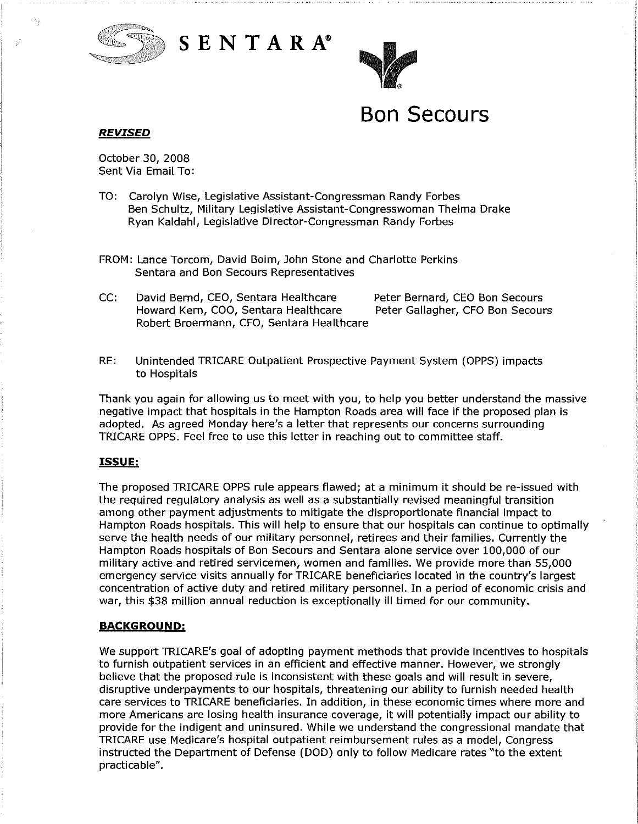





# **Bon Secours**

## *REVISED*

October 30, 2008 Sent Via Email To:

- TO: Carolyn Wise, Legislative Assistant-Congressman Randy Forbes Ben Schultz, Military Legislative Assistant-Congresswoman Thelma Drake Ryan Kaldahl, Legislative Director-Congressman Randy Forbes
- FROM: Lance Torcom, David Boim, John Stone and Charlotte Perkins Sentara and Bon Secours Representatives
- CC: David Bernd, CEO, Sentara Healthcare Peter Bernard, CEO Bon Secours Howard Kern, COO, Sentara Healthcare Peter Gallagher, CFO Bon Secours Robert Broermann, CFO, Sentara Healthcare
- RE: Unintended TRICARE Outpatient Prospective Payment System (OPPS) impacts to Hospitals

Thank you again for allowing us to meet with you, to help you better understand the massive negative impact that hospitals in the Hampton Roads area will face if the proposed plan is adopted. As agreed Monday here's a letter that represents our concerns surrounding TRICARE OPPS. Feel free to use this letter in reaching out to committee staff.

### **ISSUE:**

The proposed TRICARE OPPS rule appears flawed; at a minimum it should be re-issued with the required regulatory analysis as well as a substantially revised meaningful transition among other payment adjustments to mitigate the disproportionate financial impact to Hampton Roads hospitals. This will help to ensure that our hospitals can continue to optimally serve the health needs of our military personnel, retirees and their families. Currently the Hampton Roads hospitals of Bon Secours and Sentara alone service over 100,000 of our military active and retired servicemen, women and families. We provide more than 55,000 emergency service visits annually for TRICARE beneficiaries located in the country's largest concentration of active duty and retired military personnel. In a period of economic crisis and war, this \$38 million annual reduction is exceptionally ill timed for our community.

### **BACKGROUND:**

We support TRICARE's goal of adopting payment methods that provide incentives to hospitals to furnish outpatient services in an efficient and effective manner. However, we strongly believe that the proposed rule is inconsistent with these goals and will result in severe, disruptive underpayments to our hospitals, threatening our ability to furnish needed health care services to TRICARE beneficiaries. In addition, in these economic times where more and more Americans are losing health insurance coverage, it will potentially impact our ability to provide for the indigent and uninsured. While we understand the congressional mandate that TRICARE use Medicare's hospital outpatient reimbursement rules as a model, Congress instructed the Department of Defense (DOD) only to follow Medicare rates "to the extent practicable".